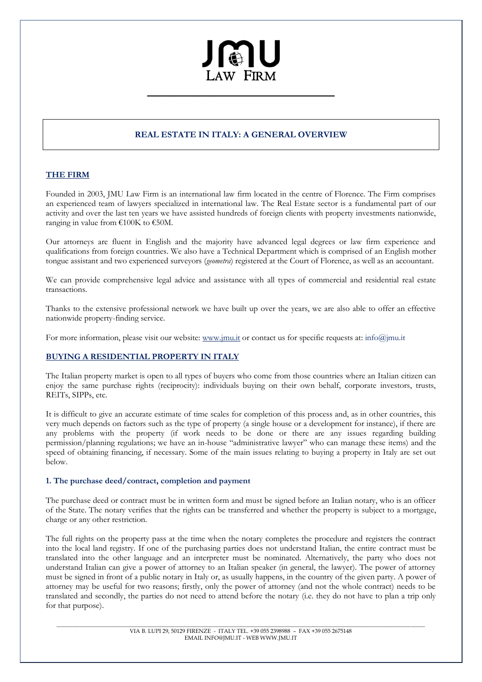# JMU  $\overline{a}$ LAW FIRM

\_\_\_\_\_\_\_\_\_\_\_\_\_\_\_\_\_\_\_\_\_\_\_\_\_\_\_\_\_\_\_\_\_

# **REAL ESTATE IN ITALY: A GENERAL OVERVIEW**

# **THE FIRM**

Founded in 2003, JMU Law Firm is an international law firm located in the centre of Florence. The Firm comprises an experienced team of lawyers specialized in international law. The Real Estate sector is a fundamental part of our activity and over the last ten years we have assisted hundreds of foreign clients with property investments nationwide, ranging in value from  $\text{\textsterling}100\text{K}$  to  $\text{\textsterling}50\text{M}$ .

Our attorneys are fluent in English and the majority have advanced legal degrees or law firm experience and qualifications from foreign countries. We also have a Technical Department which is comprised of an English mother tongue assistant and two experienced surveyors (*geometra*) registered at the Court of Florence, as well as an accountant.

We can provide comprehensive legal advice and assistance with all types of commercial and residential real estate transactions.

Thanks to the extensive professional network we have built up over the years, we are also able to offer an effective nationwide property-finding service.

For more information, please visit our website: www.jmu.it or contact us for specific requests at: info@jmu.it

# **BUYING A RESIDENTIAL PROPERTY IN ITALY**

The Italian property market is open to all types of buyers who come from those countries where an Italian citizen can enjoy the same purchase rights (reciprocity): individuals buying on their own behalf, corporate investors, trusts, REITs, SIPPs, etc.

It is difficult to give an accurate estimate of time scales for completion of this process and, as in other countries, this very much depends on factors such as the type of property (a single house or a development for instance), if there are any problems with the property (if work needs to be done or there are any issues regarding building permission/planning regulations; we have an in-house "administrative lawyer" who can manage these items) and the speed of obtaining financing, if necessary. Some of the main issues relating to buying a property in Italy are set out below.

# **1. The purchase deed/contract, completion and payment**

The purchase deed or contract must be in written form and must be signed before an Italian notary, who is an officer of the State. The notary verifies that the rights can be transferred and whether the property is subject to a mortgage, charge or any other restriction.

The full rights on the property pass at the time when the notary completes the procedure and registers the contract into the local land registry. If one of the purchasing parties does not understand Italian, the entire contract must be translated into the other language and an interpreter must be nominated. Alternatively, the party who does not understand Italian can give a power of attorney to an Italian speaker (in general, the lawyer). The power of attorney must be signed in front of a public notary in Italy or, as usually happens, in the country of the given party. A power of attorney may be useful for two reasons; firstly, only the power of attorney (and not the whole contract) needs to be translated and secondly, the parties do not need to attend before the notary (i.e. they do not have to plan a trip only for that purpose).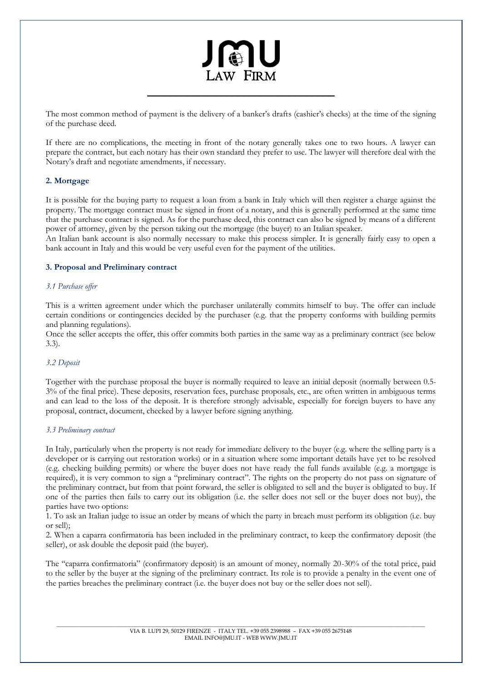# JAU  $\overline{a}$ LAW FIRM

The most common method of payment is the delivery of a banker's drafts (cashier's checks) at the time of the signing of the purchase deed.

\_\_\_\_\_\_\_\_\_\_\_\_\_\_\_\_\_\_\_\_\_\_\_\_\_\_\_\_\_\_\_\_\_

If there are no complications, the meeting in front of the notary generally takes one to two hours. A lawyer can prepare the contract, but each notary has their own standard they prefer to use. The lawyer will therefore deal with the Notary's draft and negotiate amendments, if necessary.

# **2. Mortgage**

It is possible for the buying party to request a loan from a bank in Italy which will then register a charge against the property. The mortgage contract must be signed in front of a notary, and this is generally performed at the same time that the purchase contract is signed. As for the purchase deed, this contract can also be signed by means of a different power of attorney, given by the person taking out the mortgage (the buyer) to an Italian speaker.

An Italian bank account is also normally necessary to make this process simpler. It is generally fairly easy to open a bank account in Italy and this would be very useful even for the payment of the utilities.

### **3. Proposal and Preliminary contract**

### *3.1 Purchase offer*

This is a written agreement under which the purchaser unilaterally commits himself to buy. The offer can include certain conditions or contingencies decided by the purchaser (e.g. that the property conforms with building permits and planning regulations).

Once the seller accepts the offer, this offer commits both parties in the same way as a preliminary contract (see below 3.3).

### *3.2 Deposit*

Together with the purchase proposal the buyer is normally required to leave an initial deposit (normally between 0.5- 3% of the final price). These deposits, reservation fees, purchase proposals, etc., are often written in ambiguous terms and can lead to the loss of the deposit. It is therefore strongly advisable, especially for foreign buyers to have any proposal, contract, document, checked by a lawyer before signing anything.

### *3.3 Preliminary contract*

In Italy, particularly when the property is not ready for immediate delivery to the buyer (e.g. where the selling party is a developer or is carrying out restoration works) or in a situation where some important details have yet to be resolved (e.g. checking building permits) or where the buyer does not have ready the full funds available (e.g. a mortgage is required), it is very common to sign a "preliminary contract". The rights on the property do not pass on signature of the preliminary contract, but from that point forward, the seller is obligated to sell and the buyer is obligated to buy. If one of the parties then fails to carry out its obligation (i.e. the seller does not sell or the buyer does not buy), the parties have two options:

1. To ask an Italian judge to issue an order by means of which the party in breach must perform its obligation (i.e. buy or sell);

2. When a caparra confirmatoria has been included in the preliminary contract, to keep the confirmatory deposit (the seller), or ask double the deposit paid (the buyer).

The "caparra confirmatoria" (confirmatory deposit) is an amount of money, normally 20-30% of the total price, paid to the seller by the buyer at the signing of the preliminary contract. Its role is to provide a penalty in the event one of the parties breaches the preliminary contract (i.e. the buyer does not buy or the seller does not sell).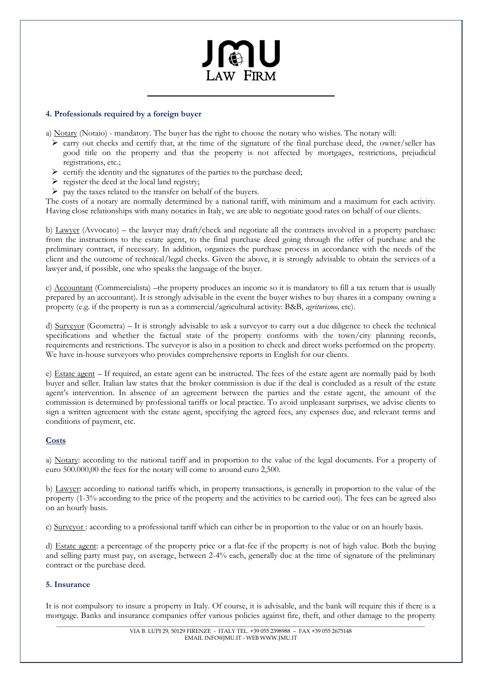# $\overline{a}$ LAW FIRM

\_\_\_\_\_\_\_\_\_\_\_\_\_\_\_\_\_\_\_\_\_\_\_\_\_\_\_\_\_\_\_\_\_

# **4. Professionals required by a foreign buyer**

a) Notary (Notaio) - mandatory. The buyer has the right to choose the notary who wishes. The notary will:

- $\triangleright$  carry out checks and certify that, at the time of the signature of the final purchase deed, the owner/seller has good title on the property and that the property is not affected by mortgages, restrictions, prejudicial registrations, etc.;
- $\triangleright$  certify the identity and the signatures of the parties to the purchase deed;
- $\triangleright$  register the deed at the local land registry;
- $\triangleright$  pay the taxes related to the transfer on behalf of the buyers.

The costs of a notary are normally determined by a national tariff, with minimum and a maximum for each activity. Having close relationships with many notaries in Italy, we are able to negotiate good rates on behalf of our clients.

b) Lawyer (Avvocato) – the lawyer may draft/check and negotiate all the contracts involved in a property purchase: from the instructions to the estate agent, to the final purchase deed going through the offer of purchase and the preliminary contract, if necessary. In addition, organizes the purchase process in accordance with the needs of the client and the outcome of technical/legal checks. Given the above, it is strongly advisable to obtain the services of a lawyer and, if possible, one who speaks the language of the buyer.

c) Accountant (Commercialista) –the property produces an income so it is mandatory to fill a tax return that is usually prepared by an accountant). It is strongly advisable in the event the buyer wishes to buy shares in a company owning a property (e.g. if the property is run as a commercial/agricultural activity: B&B, *agriturismo,* etc).

d) Surveyor (Geometra) – It is strongly advisable to ask a surveyor to carry out a due diligence to check the technical specifications and whether the factual state of the property conforms with the town/city planning records, requirements and restrictions. The surveyor is also in a position to check and direct works performed on the property. We have in-house surveyors who provides comprehensive reports in English for our clients.

e) Estate agent – If required, an estate agent can be instructed. The fees of the estate agent are normally paid by both buyer and seller. Italian law states that the broker commission is due if the deal is concluded as a result of the estate agent's intervention. In absence of an agreement between the parties and the estate agent, the amount of the commission is determined by professional tariffs or local practice. To avoid unpleasant surprises, we advise clients to sign a written agreement with the estate agent, specifying the agreed fees, any expenses due, and relevant terms and conditions of payment, etc.

# **Costs**

a) Notary: according to the national tariff and in proportion to the value of the legal documents. For a property of euro 500.000,00 the fees for the notary will come to around euro 2,500.

b) Lawyer: according to national tariffs which, in property transactions, is generally in proportion to the value of the property (1-3% according to the price of the property and the activities to be carried out). The fees can be agreed also on an hourly basis.

c) Surveyor : according to a professional tariff which can either be in proportion to the value or on an hourly basis.

d) Estate agent: a percentage of the property price or a flat-fee if the property is not of high value. Both the buying and selling party must pay, on average, between 2-4% each, generally due at the time of signature of the preliminary contract or the purchase deed.

### **5. Insurance**

It is not compulsory to insure a property in Italy. Of course, it is advisable, and the bank will require this if there is a mortgage. Banks and insurance companies offer various policies against fire, theft, and other damage to the property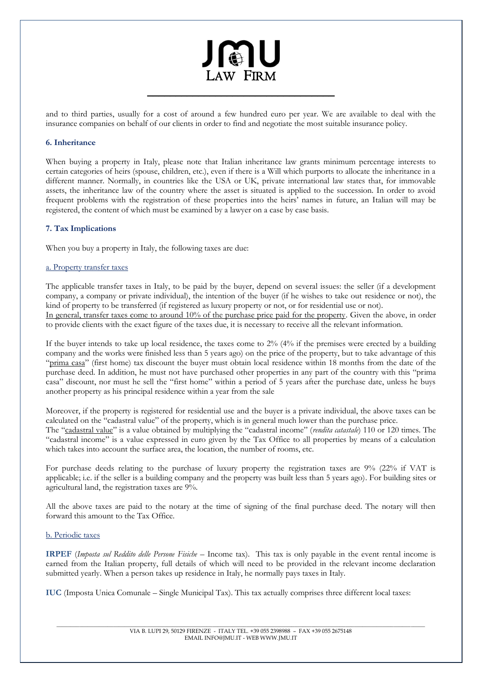# $\overline{a}$ LAW FIRM

and to third parties, usually for a cost of around a few hundred euro per year. We are available to deal with the insurance companies on behalf of our clients in order to find and negotiate the most suitable insurance policy.

\_\_\_\_\_\_\_\_\_\_\_\_\_\_\_\_\_\_\_\_\_\_\_\_\_\_\_\_\_\_\_\_\_

# **6. Inheritance**

When buying a property in Italy, please note that Italian inheritance law grants minimum percentage interests to certain categories of heirs (spouse, children, etc.), even if there is a Will which purports to allocate the inheritance in a different manner. Normally, in countries like the USA or UK, private international law states that, for immovable assets, the inheritance law of the country where the asset is situated is applied to the succession. In order to avoid frequent problems with the registration of these properties into the heirs' names in future, an Italian will may be registered, the content of which must be examined by a lawyer on a case by case basis.

# **7. Tax Implications**

When you buy a property in Italy, the following taxes are due:

# a. Property transfer taxes

The applicable transfer taxes in Italy, to be paid by the buyer, depend on several issues: the seller (if a development company, a company or private individual), the intention of the buyer (if he wishes to take out residence or not), the kind of property to be transferred (if registered as luxury property or not, or for residential use or not). In general, transfer taxes come to around 10% of the purchase price paid for the property. Given the above, in order to provide clients with the exact figure of the taxes due, it is necessary to receive all the relevant information.

If the buyer intends to take up local residence, the taxes come to 2% (4% if the premises were erected by a building company and the works were finished less than 5 years ago) on the price of the property, but to take advantage of this "prima casa" (first home) tax discount the buyer must obtain local residence within 18 months from the date of the purchase deed. In addition, he must not have purchased other properties in any part of the country with this "prima casa" discount, nor must he sell the "first home" within a period of 5 years after the purchase date, unless he buys another property as his principal residence within a year from the sale

Moreover, if the property is registered for residential use and the buyer is a private individual, the above taxes can be calculated on the "cadastral value" of the property, which is in general much lower than the purchase price. The "cadastral value" is a value obtained by multiplying the "cadastral income" (*rendita catastale*) 110 or 120 times. The "cadastral income" is a value expressed in euro given by the Tax Office to all properties by means of a calculation which takes into account the surface area, the location, the number of rooms, etc.

For purchase deeds relating to the purchase of luxury property the registration taxes are 9% (22% if VAT is applicable; i.e. if the seller is a building company and the property was built less than 5 years ago). For building sites or agricultural land, the registration taxes are 9%.

All the above taxes are paid to the notary at the time of signing of the final purchase deed. The notary will then forward this amount to the Tax Office.

### b. Periodic taxes

**IRPEF** (*Imposta sul Reddito delle Persone Fisiche* – Income tax). This tax is only payable in the event rental income is earned from the Italian property, full details of which will need to be provided in the relevant income declaration submitted yearly. When a person takes up residence in Italy, he normally pays taxes in Italy.

**IUC** (Imposta Unica Comunale – Single Municipal Tax). This tax actually comprises three different local taxes: